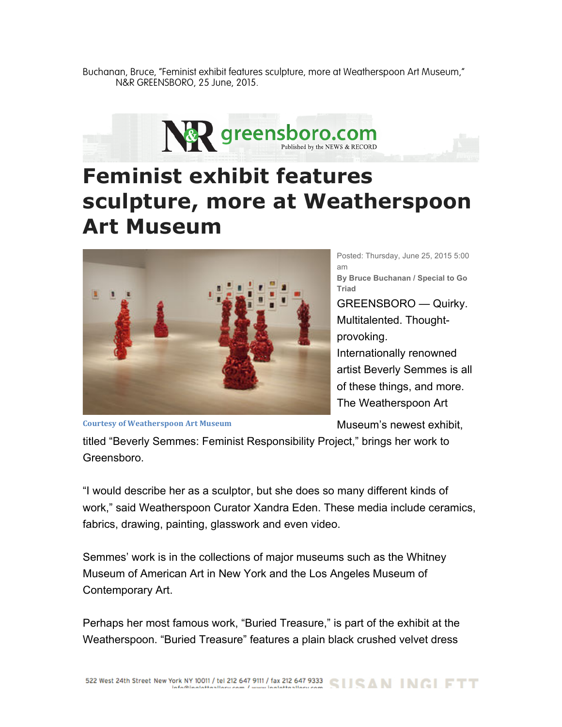Buchanan, Bruce, "Feminist exhibit features sculpture, more at Weatherspoon Art Museum," N&R GREENSBORO, 25 June, 2015.



## **Feminist exhibit features sculpture, more at Weatherspoon Art Museum**



Posted: Thursday, June 25, 2015 5:00 am **By Bruce Buchanan / Special to Go Triad** GREENSBORO — Quirky. Multitalented. Thoughtprovoking. Internationally renowned artist Beverly Semmes is all of these things, and more. The Weatherspoon Art

**Courtesy of Weatherspoon Art Museum** 

Museum's newest exhibit,

titled "Beverly Semmes: Feminist Responsibility Project," brings her work to Greensboro.

"I would describe her as a sculptor, but she does so many different kinds of work," said Weatherspoon Curator Xandra Eden. These media include ceramics, fabrics, drawing, painting, glasswork and even video.

Semmes' work is in the collections of major museums such as the Whitney Museum of American Art in New York and the Los Angeles Museum of Contemporary Art.

Perhaps her most famous work, "Buried Treasure," is part of the exhibit at the Weatherspoon. "Buried Treasure" features a plain black crushed velvet dress